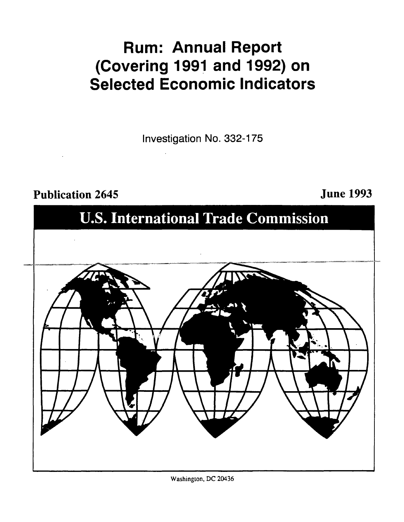# Rum: Annual Report (Covering 1991 and 1992) on Selected Economic Indicators

Investigation No. 332-175

Publication 2645 June 1993



Washington, DC 20436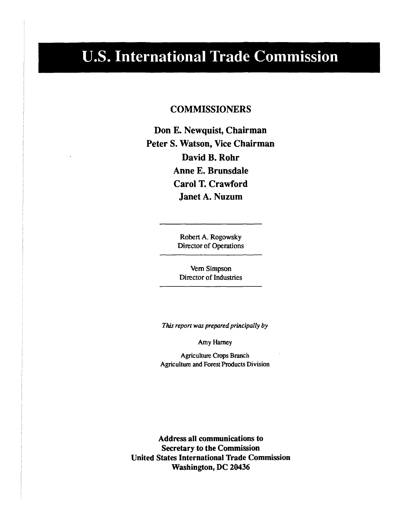# U.S. International Trade Commission

# COMMISSIONERS

Don E. Newquist, Chairman Peter S. Watson, Vice Chairman David B. Rohr Anne E. Brunsdale Carol T. Crawford Janet A. Nuzum

> Robert A. Rogowsky Director of Operations

Vern Simpson Director of Industries

*This report was prepared principally by* 

Amy Harney

Agriculture Crops Branch Agriculture and Forest Products Division

Address all communications to Secretary to the Commission United States International Trade Commission Washington, DC 20436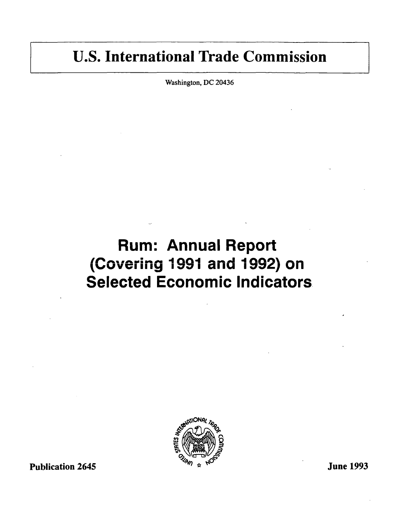# U.S. International Trade Commission

Washington, DC 20436

# Rum: Annual Report (Covering 1991 and 1992) on Selected Economic Indicators

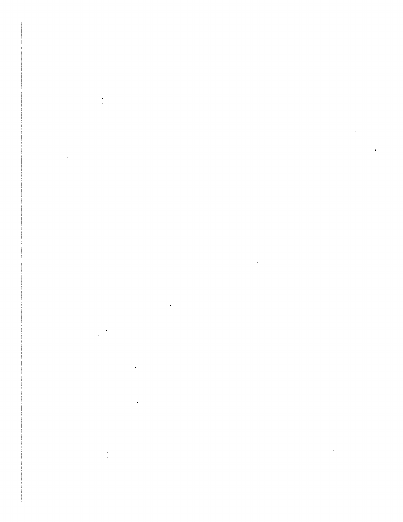#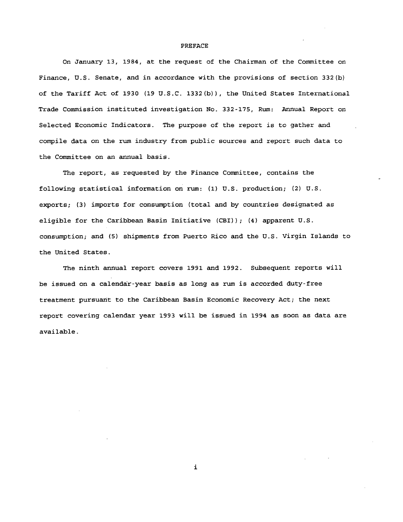## PREFACE

On January 13, 1984, at the request of the Chairman of the Committee on Finance, U.S. Senate, and in accordance with the provisions of section 332(b) of the Tariff Act of 1930 (19 U.S.C. 1332(b)), the United States International Trade Commission instituted investigation No. 332-175, Rum: Annual Report on Selected Economic Indicators. The purpose of the report is to gather and compile data on the rum industry from public sources and report such data to the Committee on an annual basis.

The report, as requested by the Finance Committee, contains the following statistical information on rum: (1) U.S. production; (2) U.S. exports; (3) imports for consumption (total and by countries designated as eligible for the Caribbean Basin Initiative (CBI)); (4) apparent U.S. consumption; and (5) shipments from Puerto Rico and the U.S. Virgin Islands to the United States.

The ninth annual report covers 1991 and 1992. Subsequent reports will be issued on a calendar-year basis as long as rum is accorded duty-free treatment pursuarit to the Caribbean Basin Economic Recovery Act; the next report covering calendar year 1993 will be issued in 1994 as soon as data are available.

i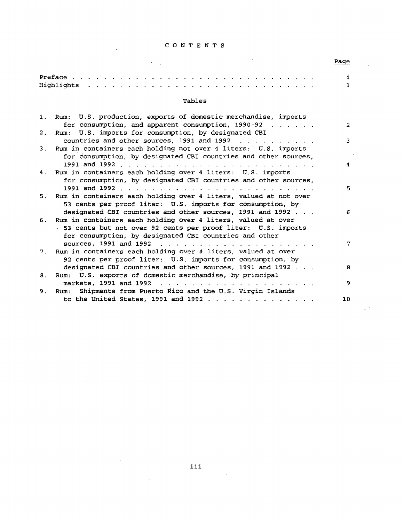# C 0 N T E N T S

 $\sim 10^{-10}$ 

 $\sim$   $\sim$ 

 $\sim$   $\sim$ 

 $\sim$ 

 $\sim$   $\sim$ 

#### $\mathcal{L}^{\text{max}}_{\text{max}}$  and  $\mathcal{L}^{\text{max}}_{\text{max}}$  $\label{eq:2} \mathcal{L} = \mathcal{L} \left( \mathcal{L} \right) \mathcal{L} \left( \mathcal{L} \right) \mathcal{L} \left( \mathcal{L} \right)$ Page Preface . i Highlights 1

# Tables

|    | 1. Rum: U.S. production, exports of domestic merchandise, imports                                                         |                |
|----|---------------------------------------------------------------------------------------------------------------------------|----------------|
|    | for consumption, and apparent consumption, 1990-92<br>2. Rum: U.S. imports for consumption, by designated CBI             | $\overline{2}$ |
|    | countries and other sources, 1991 and 1992                                                                                | 3.             |
|    | 3. Rum in containers each holding not over 4 liters: U.S. imports                                                         |                |
|    | for consumption, by designated CBI countries and other sources,                                                           |                |
|    | 4. Rum in containers each holding over 4 liters: U.S. imports                                                             | 4              |
|    | for consumption, by designated CBI countries and other sources,                                                           |                |
|    |                                                                                                                           | 5              |
|    | 5. Rum in containers each holding over 4 liters, valued at not over                                                       |                |
|    | 53 cents per proof liter: U.S. imports for consumption, by                                                                |                |
| 6. | designated CBI countries and other sources, 1991 and 1992<br>Rum in containers each holding over 4 liters, valued at over | 6              |
|    | 53 cents but not over 92 cents per proof liter: U.S. imports                                                              |                |
|    | for consumption, by designated CBI countries and other                                                                    |                |
|    |                                                                                                                           |                |
|    | 7. Rum in containers each holding over 4 liters, valued at over                                                           |                |
|    | 92 cents per proof liter: U.S. imports for consumption, by<br>designated CBI countries and other sources, 1991 and 1992   | 8              |
| 8. | Rum: U.S. exports of domestic merchandise, by principal                                                                   |                |
|    |                                                                                                                           | 9              |
| 9. | Rum: Shipments from Puerto Rico and the U.S. Virgin Islands                                                               |                |
|    |                                                                                                                           | 10             |

 $\varphi^{(1)}$ 

 $\sim 10^7$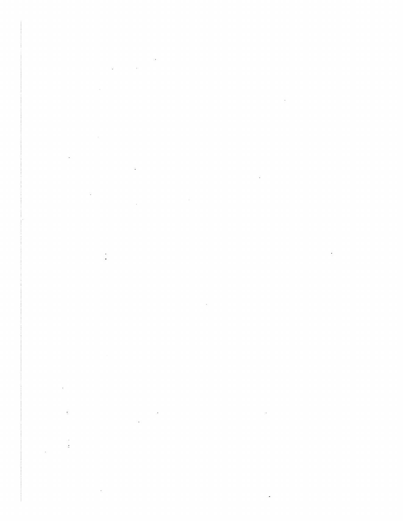$\label{eq:2.1} \frac{1}{\sqrt{2}}\int_{\mathbb{R}^3}\frac{1}{\sqrt{2}}\left(\frac{1}{\sqrt{2}}\right)^2\frac{1}{\sqrt{2}}\left(\frac{1}{\sqrt{2}}\right)^2\frac{1}{\sqrt{2}}\left(\frac{1}{\sqrt{2}}\right)^2\frac{1}{\sqrt{2}}\left(\frac{1}{\sqrt{2}}\right)^2.$ 

 $\label{eq:2.1} \frac{1}{\sqrt{2}}\int_{0}^{\infty}\frac{1}{\sqrt{2\pi}}\left(\frac{1}{\sqrt{2\pi}}\right)^{2\alpha} \frac{1}{\sqrt{2\pi}}\int_{0}^{\infty}\frac{1}{\sqrt{2\pi}}\left(\frac{1}{\sqrt{2\pi}}\right)^{\alpha} \frac{1}{\sqrt{2\pi}}\int_{0}^{\infty}\frac{1}{\sqrt{2\pi}}\frac{1}{\sqrt{2\pi}}\frac{1}{\sqrt{2\pi}}\frac{1}{\sqrt{2\pi}}\frac{1}{\sqrt{2\pi}}\frac{1}{\sqrt{2\pi}}\frac{1}{\sqrt{2\pi}}$ 

 $\label{eq:2.1} \frac{1}{\sqrt{2}}\sum_{i=1}^n\frac{1}{\sqrt{2\pi}}\sum_{i=1}^n\frac{1}{\sqrt{2\pi}}\sum_{i=1}^n\frac{1}{\sqrt{2\pi}}\sum_{i=1}^n\frac{1}{\sqrt{2\pi}}\sum_{i=1}^n\frac{1}{\sqrt{2\pi}}\sum_{i=1}^n\frac{1}{\sqrt{2\pi}}\sum_{i=1}^n\frac{1}{\sqrt{2\pi}}\sum_{i=1}^n\frac{1}{\sqrt{2\pi}}\sum_{i=1}^n\frac{1}{\sqrt{2\pi}}\sum_{i=1}^n\frac{$ 

 $\label{eq:2.1} \frac{1}{\sqrt{2}}\int_{\mathbb{R}^3}\frac{1}{\sqrt{2}}\left(\frac{1}{\sqrt{2}}\right)^2\frac{1}{\sqrt{2}}\left(\frac{1}{\sqrt{2}}\right)^2\frac{1}{\sqrt{2}}\left(\frac{1}{\sqrt{2}}\right)^2\frac{1}{\sqrt{2}}\left(\frac{1}{\sqrt{2}}\right)^2.$  $\mathcal{L}^{\text{max}}_{\text{max}}$  and  $\mathcal{L}^{\text{max}}_{\text{max}}$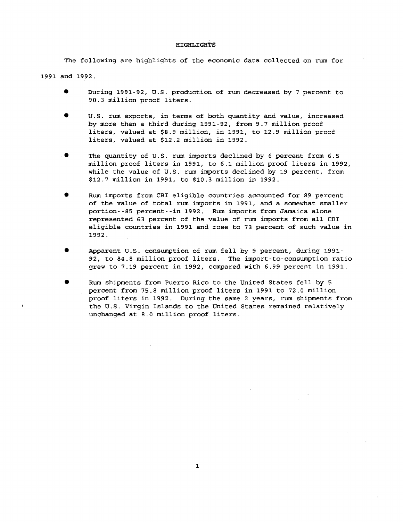## **HIGHLIGHTS**

The following are highlights of the economic data collected on rum for

1991 and 1992.

- During 1991-92, U.S. production of rum decreased by 7 percent to 90.3 million proof liters.
- U.S. rum exports, in terms of both quantity and value, increased by more than a third during 1991-92, from 9.7 million proof liters, valued at \$8.9 million, in 1991, to 12.9 million proof liters, valued at \$12.2 million in 1992.
- The quantity of U.S. rum imports declined by 6 percent from 6.5 million proof liters in 1991, to 6.1 million proof liters in 1992, while the value of U.S. rum imports declined by 19 percent, from \$12.7 million in 1991, to \$10.3 million in 1992.
- Rum imports from CBI eligible countries accounted for 89 percent of the value of total rum imports in 1991, and a somewhat smaller portion--85 percent--in 1992. Rum imports from Jamaica alone represented 63 percent of the value of rum imports from all CBI eligible countries in 1991 and rose to 73 percent of such value in 1992.
- Apparent U.S. consumption of rum fell by 9 percent, during 1991- 92, to 84.8 million proof liters. The import-to-consumption ratio grew to 7.19 percent in 1992, compared with 6.99 percent in 1991.
- Rum shipments from Puerto Rico to the United States fell by 5 percent from 75.8 million proof liters in 1991 to 72.0 million proof liters in 1992. During the same 2 years, rum shipments from the U.S. Virgin Islands to the United States remained relatively unchanged at 8.0 million proof liters.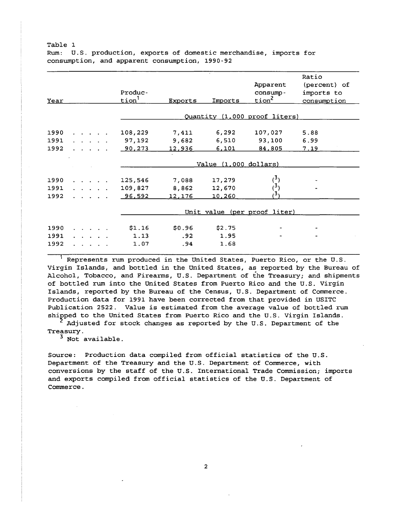Rum: U.S. production, exports of domestic merchandise, imports for consumption, and apparent consumption, 1990-92

|      |                                                          |   |  |                 |                |                       |                               | Ratio        |
|------|----------------------------------------------------------|---|--|-----------------|----------------|-----------------------|-------------------------------|--------------|
|      |                                                          |   |  |                 |                |                       | Apparent                      | (percent) of |
|      |                                                          |   |  | Produc-         |                |                       | consump-                      | imports to   |
| Year |                                                          |   |  | $\text{tion}^1$ | <b>Exports</b> | Imports               | $\text{tion}^2$               | consumption  |
|      |                                                          |   |  |                 |                |                       | Quantity (1,000 proof liters) |              |
|      |                                                          |   |  |                 |                |                       |                               |              |
| 1990 | $\mathbf{r}$ and $\mathbf{r}$ and $\mathbf{r}$           |   |  | 108,229         | 7,411          | 6,292                 | 107,027                       | 5.88         |
| 1991 | $\mathbf{r}=\mathbf{r}+\mathbf{r}+\mathbf{r}+\mathbf{r}$ |   |  | 97,192          | 9,682          | 6,510                 | 93,100                        | 6.99         |
| 1992 |                                                          | . |  | <u>90,273</u>   | <u>12,936 </u> | 6,101                 | 84,805                        | 7.19         |
|      |                                                          |   |  |                 |                |                       |                               |              |
|      |                                                          |   |  |                 |                | Value (1,000 dollars) |                               |              |
|      |                                                          |   |  |                 |                |                       |                               |              |
| 1990 |                                                          | . |  | 125,546         | 7,088          | 17,279                | (3)                           |              |
| 1991 | $\cdots$ . The set of $\cdots$                           |   |  | 109,827         | 8,862          | 12,670                | (3)                           |              |
| 1992 |                                                          | . |  | <u>96,592</u>   | 12,176         | 10,260                |                               |              |
|      |                                                          |   |  |                 |                |                       |                               |              |
|      |                                                          |   |  |                 |                |                       | Unit value (per proof liter)  |              |
|      |                                                          |   |  |                 |                |                       |                               |              |
| 1990 |                                                          | . |  | \$1.16          | \$0.96         | \$2.75                |                               |              |
| 1991 |                                                          | . |  | 1.13            | .92            | 1.95                  |                               |              |
| 1992 |                                                          |   |  | 1.07            | .94            | 1.68                  |                               |              |
|      |                                                          |   |  |                 |                |                       |                               |              |

<sup>1</sup> Represents rum produced in the United States, Puerto Rico, or the U.S. Virgin Islands, and bottled in the United States, as reported by the Bureau of Alcohol, Tobacco, and Firearms, U.S. Department of the Treasury; and shipments of bottled rum into the United States from Puerto Rico and the U.S. Virgin Islands, reported by the Bureau of the Census, U.S. Department of Commerce. Production data for 1991 have been corrected from that provided in USITC Publication 2522. Value is estimated from the average value of bottled rum shipped to the United States from Puerto Rico and the U.S. Virgin Islands.

Adjusted for stock changes as reported by the U.S. Department of the Treasury.<br> $3$  Not available.

Source: Production data compiled from official statistics of the U.S. Department of the Treasury and the U.S. Department of Commerce, with conversions by the staff of the U.S. International Trade Commission; imports and exports compiled from official statistics of the U.S. Department of Commerce.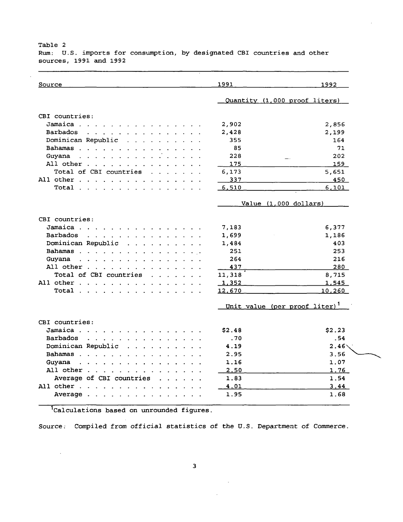Table 2 Rum: U.S. imports for consumption, by designated CBI countries and other sources, 1991 and 1992

| Source                                                                                                                                                                                                                                                         | 1991   | 1992                                      |
|----------------------------------------------------------------------------------------------------------------------------------------------------------------------------------------------------------------------------------------------------------------|--------|-------------------------------------------|
|                                                                                                                                                                                                                                                                |        | Quantity (1,000 proof liters)             |
| CBI countries:                                                                                                                                                                                                                                                 |        |                                           |
| Jamaica                                                                                                                                                                                                                                                        | 2,902  | 2,856                                     |
| Barbados<br>$\frac{1}{2}$ , $\frac{1}{2}$ , $\frac{1}{2}$ , $\frac{1}{2}$ , $\frac{1}{2}$ , $\frac{1}{2}$ , $\frac{1}{2}$ , $\frac{1}{2}$ , $\frac{1}{2}$ , $\frac{1}{2}$                                                                                      | 2,428  | 2,199                                     |
| Dominican Republic<br>and the contract of the contract of                                                                                                                                                                                                      | 355    | 164                                       |
| Bahamas                                                                                                                                                                                                                                                        | 85     | 71                                        |
| Guyana                                                                                                                                                                                                                                                         | 228    | 202                                       |
| All other.<br>$\mathbf{r}$ , $\mathbf{r}$ , $\mathbf{r}$ , $\mathbf{r}$ , $\mathbf{r}$ , $\mathbf{r}$<br>$\mathcal{L}$                                                                                                                                         | 175    | 159                                       |
| Total of CBI countries                                                                                                                                                                                                                                         | 6,173  | 5,651                                     |
| All other $\ldots$ , $\ldots$                                                                                                                                                                                                                                  | 337    | 450                                       |
| Total<br>$\overline{\phantom{a}}$                                                                                                                                                                                                                              | 6,510  | 6,101                                     |
|                                                                                                                                                                                                                                                                |        | Value (1,000 dollars)                     |
| CBI countries:                                                                                                                                                                                                                                                 |        |                                           |
| Jamaica                                                                                                                                                                                                                                                        | 7,183  | 6,377                                     |
| Barbados<br>$\mathbf{r}$ . The contract of the contract of the contract of the contract of the contract of the contract of the contract of the contract of the contract of the contract of the contract of the contract of the contract of th<br>$\sim$ $\sim$ | 1,699  | 1,186                                     |
| Dominican Republic<br>$\sim$ $\sim$ $\sim$<br>$\mathbf{L} = \mathbf{L}$                                                                                                                                                                                        | 1,484  | 403                                       |
| Bahamas                                                                                                                                                                                                                                                        | 251    | 253                                       |
| Guyana                                                                                                                                                                                                                                                         | 264    | 216                                       |
| All other $\ldots$                                                                                                                                                                                                                                             | 437    | 280                                       |
| Total of CBI countries                                                                                                                                                                                                                                         | 11,318 | 8,715                                     |
| All other $\ldots$ $\ldots$ $\ldots$                                                                                                                                                                                                                           | 1,352  | 1,545                                     |
| Total<br>$\sim$                                                                                                                                                                                                                                                | 12,670 | 10,260                                    |
|                                                                                                                                                                                                                                                                |        | Unit value (per proof liter) <sup>1</sup> |
| CBI countries:                                                                                                                                                                                                                                                 |        |                                           |
| Jamaica                                                                                                                                                                                                                                                        | \$2.48 | \$2.23                                    |
| $Barbados$                                                                                                                                                                                                                                                     | .70    | .54                                       |
| Dominican Republic<br>$\begin{array}{cccccccccccccc} \bullet & \bullet & \bullet & \bullet & \bullet & \bullet & \bullet & \bullet & \bullet \end{array}$                                                                                                      | 4.19   | $2.46\sqrt{ }$                            |
| Bahamas                                                                                                                                                                                                                                                        | 2.95   | 3.56                                      |
| Guyana<br>$\mathbf{r}$ , $\mathbf{r}$ , $\mathbf{r}$ , $\mathbf{r}$<br>$\sim$ $\sim$                                                                                                                                                                           | 1.16   | 1.07                                      |
| All other<br>$\sim$                                                                                                                                                                                                                                            | 2.50   | 1.76                                      |
| Average of CBI countries<br>$\mathbf{z} = \mathbf{z}$ .                                                                                                                                                                                                        | 1.83   | 1.54                                      |
| All other                                                                                                                                                                                                                                                      | 4.01   | 3.44                                      |
|                                                                                                                                                                                                                                                                |        |                                           |

<sup>1</sup>calculations based on unrounded figures.

 $\hat{A}$ 

Source: Compiled from official statistics of the U.S. Department of Commerce.

 $\sim 10^{-10}$ 

 $\mathcal{A}$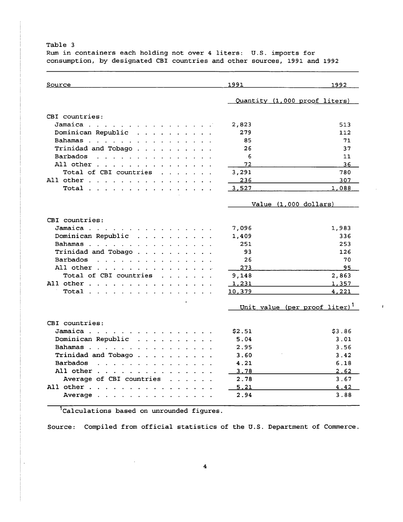Rum in containers each holding not over 4 liters: U.S. imports for consumption, by designated CBI countries and other sources, 1991 and 1992

| Source                                                                          | 1991   | 1992                                      |
|---------------------------------------------------------------------------------|--------|-------------------------------------------|
|                                                                                 |        | Quantity (1,000 proof liters)             |
| CBI countries:                                                                  |        |                                           |
| Jamaica                                                                         | 2,823  | 513                                       |
| Dominican Republic                                                              | 279    | 112                                       |
| Bahamas                                                                         | 85     | 71                                        |
| Trinidad and Tobago                                                             | 26     | 37                                        |
| Barbados                                                                        | 6      | 11                                        |
| All other                                                                       | 72     | 36                                        |
| Total of CBI countries<br>$\sim$                                                | 3,291  | 780                                       |
| All other                                                                       | 236    | 307                                       |
| Total $\ldots$                                                                  | 3,527  | 1,088                                     |
|                                                                                 |        | Value (1,000 dollars)                     |
| CBI countries:                                                                  |        |                                           |
| Jamaica                                                                         | 7,096  | 1,983                                     |
| Dominican Republic                                                              | 1,409  | 336                                       |
| Bahamas                                                                         | 251    | 253                                       |
| Trinidad and Tobago                                                             | 93     | 126                                       |
| Barbados<br>$\ddot{\phantom{a}}$                                                | 26     | 70                                        |
| All other                                                                       | 273    | 95                                        |
| Total of CBI countries                                                          | 9,148  | 2,863                                     |
| All other $\ldots$ , $\ldots$ , $\ldots$                                        | 1,231  | 1,357                                     |
| Total $\ldots$                                                                  | 10,379 | 4,221                                     |
|                                                                                 |        | Unit value (per proof liter) <sup>1</sup> |
| CBI countries:                                                                  |        |                                           |
| Jamaica                                                                         | \$2.51 | \$3.86                                    |
| Dominican Republic<br>$\mathbf{r}$ , $\mathbf{r}$ , $\mathbf{r}$ , $\mathbf{r}$ | 5.04   | 3.01                                      |
| Bahamas                                                                         | 2.95   | 3.56                                      |
| Trinidad and Tobago                                                             | 3.60   | 3.42                                      |
| Barbados<br>$\sim$                                                              | 4.21   | 6.18                                      |
| All other                                                                       | 3.78   | 2.62                                      |
| Average of CBI countries                                                        | 2.78   | 3.67                                      |
| All other $\ldots$ $\ldots$ $\ldots$ $\ldots$                                   | 5.21   | 4.42                                      |
| Average                                                                         | 2.94   | 3.88                                      |

<sup>1</sup>Calculations based on unrounded figures.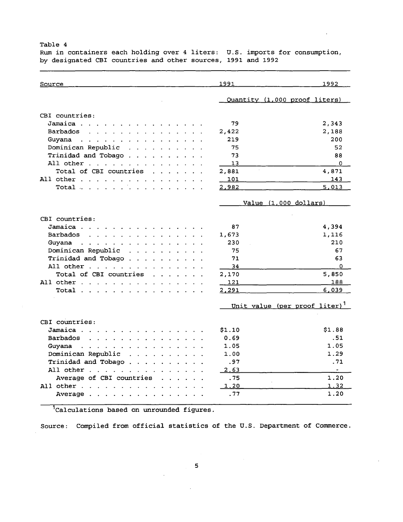Rum in containers each holding over 4 liters: U.S. imports for consumption, by designated CBI countries and other sources, 1991 and 1992

| Source                                                                                                                                                                                                                                                              | 1991        | 1992                                      |
|---------------------------------------------------------------------------------------------------------------------------------------------------------------------------------------------------------------------------------------------------------------------|-------------|-------------------------------------------|
|                                                                                                                                                                                                                                                                     |             |                                           |
|                                                                                                                                                                                                                                                                     |             | Quantity (1,000 proof liters)             |
|                                                                                                                                                                                                                                                                     |             |                                           |
| CBI countries:<br>Jamaica                                                                                                                                                                                                                                           | 79          | 2,343                                     |
|                                                                                                                                                                                                                                                                     |             |                                           |
| <b>Barbados</b><br>$\mathbf{1}$ and $\mathbf{1}$ and $\mathbf{1}$ and $\mathbf{1}$<br>$\mathbf{r}$<br>$\mathbf{r}$<br>$\sim$<br>$\Delta \sim 10^4$                                                                                                                  | 2,422       | 2,188                                     |
| Guyana<br>and the contract of the state of the state of the state of the state of the state of the state of the state of the state of the state of the state of the state of the state of the state of the state of the state of the sta<br>$\sim 100$ km s $^{-1}$ | 219         | 200                                       |
| Dominican Republic                                                                                                                                                                                                                                                  | 75          | 52                                        |
| Trinidad and Tobago                                                                                                                                                                                                                                                 | 73          | 88                                        |
| All other<br>$\mathbf{r}$                                                                                                                                                                                                                                           | 13          | $\Omega$                                  |
| Total of CBI countries                                                                                                                                                                                                                                              | 2,881       | 4,871                                     |
| All other<br>$\sim$                                                                                                                                                                                                                                                 | <u> 101</u> | 143                                       |
| Total $\ldots$                                                                                                                                                                                                                                                      | 2,982       | 5,013                                     |
|                                                                                                                                                                                                                                                                     |             | Value (1,000 dollars)                     |
| CBI countries:                                                                                                                                                                                                                                                      |             |                                           |
|                                                                                                                                                                                                                                                                     |             | 4,394                                     |
| Jamaica<br>Barbados                                                                                                                                                                                                                                                 | 87          |                                           |
| $\mathbf{r}$ , $\mathbf{r}$ , $\mathbf{r}$ , $\mathbf{r}$ , $\mathbf{r}$                                                                                                                                                                                            | 1,673       | 1,116                                     |
| Guyana                                                                                                                                                                                                                                                              | 230         | 210                                       |
| Dominican Republic<br>$\ddot{\phantom{a}}$<br>$\sim$<br>$\ddot{\phantom{a}}$                                                                                                                                                                                        | 75          | 67                                        |
| Trinidad and Tobago<br>$\ddot{\phantom{a}}$                                                                                                                                                                                                                         | 71          | 63                                        |
| All other                                                                                                                                                                                                                                                           | 34          | $\Omega$                                  |
| Total of CBI countries                                                                                                                                                                                                                                              | 2,170       | 5,850                                     |
| All other                                                                                                                                                                                                                                                           | 121         | 188                                       |
| Total<br>$\sim$                                                                                                                                                                                                                                                     | 2,291       | 6,039                                     |
|                                                                                                                                                                                                                                                                     |             | Unit value (per proof liter) <sup>1</sup> |
| CBI countries:                                                                                                                                                                                                                                                      |             |                                           |
| Jamaica                                                                                                                                                                                                                                                             | \$1.10      | \$1.88                                    |
|                                                                                                                                                                                                                                                                     | 0.69        | .51                                       |
| Barbados                                                                                                                                                                                                                                                            |             |                                           |
| Guyana<br>the contract of the contract of the contract of                                                                                                                                                                                                           | 1.05        | 1.05                                      |
| Dominican Republic                                                                                                                                                                                                                                                  | 1.00        | 1.29                                      |
| Trinidad and Tobago<br>$\sim$ $\sim$                                                                                                                                                                                                                                | .97         | .71                                       |
| All other<br>$\sim$                                                                                                                                                                                                                                                 | 2.63        | $\sim$                                    |
| Average of CBI countries                                                                                                                                                                                                                                            | .75         | 1.20                                      |
| All other.<br>$\cdot$                                                                                                                                                                                                                                               | 1.20        | 1.32                                      |
| Average $\ldots$ $\ldots$ $\ldots$ $\ldots$                                                                                                                                                                                                                         | .77         | 1.20                                      |

<sup>1</sup>Calculations based on unrounded figures.

Source: Compiled from official statistics of the U.S. Department of Commerce.

 $\sim$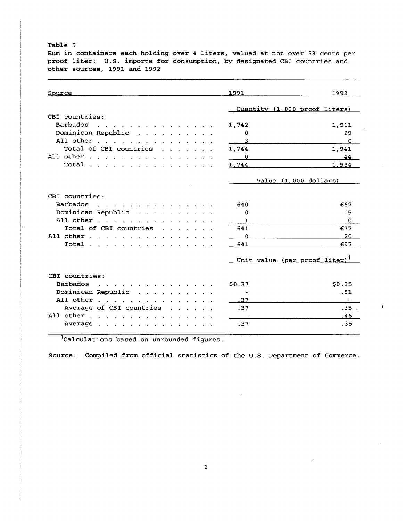Rum in containers each holding over 4 liters, valued at not over 53 cents per proof liter: U.S. imports for consumption, by designated CBI countries and other sources, 1991 and 1992

| Source                                                                                                                                                                                                    | 1991                                      | 1992     |
|-----------------------------------------------------------------------------------------------------------------------------------------------------------------------------------------------------------|-------------------------------------------|----------|
|                                                                                                                                                                                                           | Quantity (1,000 proof liters)             |          |
| CBI countries:                                                                                                                                                                                            |                                           |          |
| <b>Barbados</b><br>.                                                                                                                                                                                      | 1,742                                     | 1,911    |
| Dominican Republic                                                                                                                                                                                        | $\Omega$                                  | 29       |
| All other                                                                                                                                                                                                 |                                           | $\Omega$ |
| Total of CBI countries<br>$\mathbf{L} = \mathbf{L} \times \mathbf{L} = \mathbf{L} \times \mathbf{L} = \mathbf{L} \times \mathbf{L}$                                                                       | 1,744                                     | 1,941    |
| All other                                                                                                                                                                                                 | $\Omega$                                  | 44       |
| Total                                                                                                                                                                                                     | 1,744                                     | 1,984    |
|                                                                                                                                                                                                           | Value (1,000 dollars)                     |          |
| CBI countries:                                                                                                                                                                                            |                                           |          |
| Barbados<br>$\frac{1}{2}$ , $\frac{1}{2}$ , $\frac{1}{2}$ , $\frac{1}{2}$ , $\frac{1}{2}$ , $\frac{1}{2}$ , $\frac{1}{2}$ , $\frac{1}{2}$ , $\frac{1}{2}$ , $\frac{1}{2}$ , $\frac{1}{2}$ , $\frac{1}{2}$ | 640                                       | 662      |
| Dominican Republic                                                                                                                                                                                        | O                                         | 15       |
| All other                                                                                                                                                                                                 | 1                                         | 0        |
| Total of CBI countries                                                                                                                                                                                    | 641                                       | 677      |
| All other $\ldots$ $\ldots$ $\ldots$ $\ldots$                                                                                                                                                             | $\Omega$                                  | 20       |
| Total                                                                                                                                                                                                     | 641                                       | 697      |
|                                                                                                                                                                                                           | Unit value (per proof liter) <sup>1</sup> |          |
| CBI countries:                                                                                                                                                                                            |                                           |          |
| Barbados<br>$\frac{1}{2}$                                                                                                                                                                                 | \$0.37                                    | \$0.35   |
| Dominican Republic                                                                                                                                                                                        |                                           | .51      |
| All other                                                                                                                                                                                                 | .37                                       |          |
| Average of CBI countries<br>$\mathbf{r}$ , $\mathbf{r}$ , $\mathbf{r}$ , $\mathbf{r}$                                                                                                                     | .37                                       | .35      |
| All other                                                                                                                                                                                                 | $\sim$ $-$                                | .46      |
| Average                                                                                                                                                                                                   | .37                                       | .35      |

<sup>1</sup>Calculations based on unrounded figures.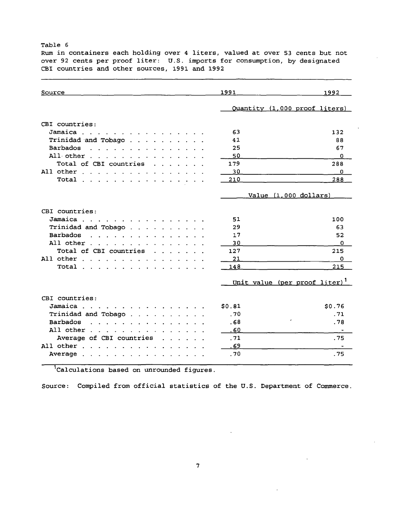Table 6 Rum in containers each holding over 4 liters, valued at over 53 cents but not over 92 cents per proof liter: U.S. imports for consumption, by designated CBI countries and other sources, 1991 and 1992

| Source                                                                                                            | 1991   | 1992                                      |
|-------------------------------------------------------------------------------------------------------------------|--------|-------------------------------------------|
|                                                                                                                   |        | Quantity (1,000 proof liters)             |
| CBI countries:                                                                                                    |        |                                           |
| Jamaica                                                                                                           | 63     | 132                                       |
| Trinidad and Tobago                                                                                               | 41     | 88                                        |
| Barbados                                                                                                          | 25     | 67                                        |
| All other                                                                                                         | 50     | 0                                         |
| Total of CBI countries<br>$\mathbf{r}$ , $\mathbf{r}$ , $\mathbf{r}$ , $\mathbf{r}$ , $\mathbf{r}$ , $\mathbf{r}$ | 179    | 288                                       |
| All other                                                                                                         | 30     | $\Omega$                                  |
| Total                                                                                                             | 210    | 288                                       |
|                                                                                                                   |        | Value (1,000 dollars)                     |
| CBI countries:                                                                                                    |        |                                           |
| Jamaica                                                                                                           | 51     | 100                                       |
| Trinidad and Tobago                                                                                               | 29     | 63                                        |
| Barbados                                                                                                          | 17     | 52                                        |
| All other $\ldots$                                                                                                | 30     | $\Omega$                                  |
| Total of CBI countries                                                                                            | 127    | 215                                       |
| All other $\ldots$                                                                                                | 21     | 0                                         |
| Total                                                                                                             | 148    | 215                                       |
|                                                                                                                   |        | Unit value (per proof liter) <sup>1</sup> |
| CBI countries:                                                                                                    |        |                                           |
| Jamaica                                                                                                           | \$0.81 | \$0.76                                    |
| Trinidad and Tobago                                                                                               | .70    | .71                                       |
| Barbados                                                                                                          | . 68   | .78                                       |
| All other                                                                                                         | .60    |                                           |
| Average of CBI countries                                                                                          | .71    | . 75                                      |
| All other                                                                                                         | .69    | $\overline{\phantom{a}}$                  |
| Average                                                                                                           | .70    | . 75                                      |
|                                                                                                                   |        |                                           |

<sup>1</sup>Calculations based on unrounded figures.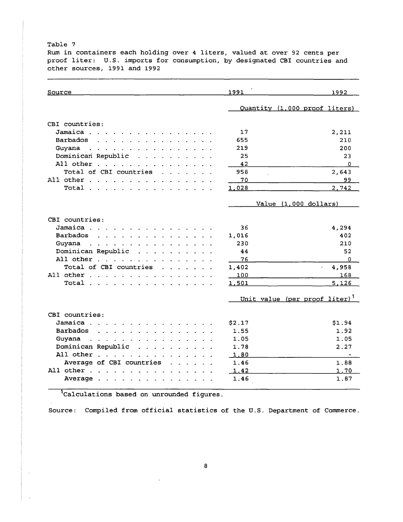Rum in containers each holding over 4 liters, valued at over 92 cents per proof liter: U.S. imports for consumption, by designated CBI countries and other sources, 1991 and 1992

| Source                                                                                                                                                                                                    | 1991   | 1992                                      |
|-----------------------------------------------------------------------------------------------------------------------------------------------------------------------------------------------------------|--------|-------------------------------------------|
|                                                                                                                                                                                                           |        | Quantity (1,000 proof liters)             |
| CBI countries:                                                                                                                                                                                            |        |                                           |
| Jamaica                                                                                                                                                                                                   | 17     | 2,211                                     |
| <b>Barbados</b><br>$\cdot$ $\cdot$ $\cdot$ $\cdot$ $\cdot$ $\cdot$                                                                                                                                        | 655    | 210                                       |
| Guyana<br>$\begin{array}{cccccccccccccc} \bullet & \bullet & \bullet & \bullet & \bullet & \bullet & \bullet & \bullet & \bullet & \bullet & \bullet \end{array}$                                         | 219    | 200                                       |
| Dominican Republic<br>$\mathbf{1}^{\prime}$ , $\mathbf{1}^{\prime}$ , $\mathbf{1}^{\prime}$                                                                                                               | 25     | 23                                        |
| All other                                                                                                                                                                                                 | 42     | $\Omega$                                  |
| Total of CBI countries                                                                                                                                                                                    | 958    | 2,643                                     |
| All other                                                                                                                                                                                                 | 70     | 99                                        |
| Total<br>$\mathbf{L} = \mathbf{L} \times \mathbf{L}$                                                                                                                                                      | 1,028  | 2,742                                     |
|                                                                                                                                                                                                           |        | Value (1,000 dollars)                     |
| CBI countries:                                                                                                                                                                                            |        |                                           |
| Jamaica                                                                                                                                                                                                   | 36     | 4,294                                     |
| Barbados<br>$\frac{1}{2}$ , $\frac{1}{2}$ , $\frac{1}{2}$ , $\frac{1}{2}$ , $\frac{1}{2}$ , $\frac{1}{2}$ , $\frac{1}{2}$ , $\frac{1}{2}$ , $\frac{1}{2}$ , $\frac{1}{2}$ , $\frac{1}{2}$ , $\frac{1}{2}$ | 1,016  | 402                                       |
| Guyana<br>$\frac{1}{2}$                                                                                                                                                                                   | 230    | 210                                       |
| Dominican Republic<br>$\mathbf{L}$ and $\mathbf{L}$ and $\mathbf{L}$<br>$\sim$ $\sim$ $\sim$ $\sim$                                                                                                       | 44     | 52                                        |
| All other                                                                                                                                                                                                 | 76     | O                                         |
| Total of CBI countries<br>$\sim$<br>$\ddot{\phantom{a}}$<br>$\ddot{\phantom{a}}$                                                                                                                          | 1,402  | 4,958<br>ä.                               |
| All other<br>$\sim$ $\sim$ $\sim$                                                                                                                                                                         | 100    | 168                                       |
| Total                                                                                                                                                                                                     | 1,501  | 5,126                                     |
|                                                                                                                                                                                                           |        | Unit value (per proof liter) <sup>1</sup> |
| CBI countries:                                                                                                                                                                                            |        |                                           |
| Jamaica                                                                                                                                                                                                   | \$2.17 | \$1.94                                    |
| Barbados<br>.                                                                                                                                                                                             | 1.55   | 1.92                                      |
| Guyana<br>$\sim$                                                                                                                                                                                          | 1.05   | 1.05                                      |
| Dominican Republic<br>$\cdots$                                                                                                                                                                            | 1.78   | 2.27                                      |
| All other                                                                                                                                                                                                 | 1.80   |                                           |
| Average of CBI countries                                                                                                                                                                                  | 1.46   | 1.88                                      |
| All other                                                                                                                                                                                                 | 1.42   | 1.70                                      |
| Average                                                                                                                                                                                                   | 1.46   | 1.87                                      |

<sup>1</sup>Calculations based on unrounded figures.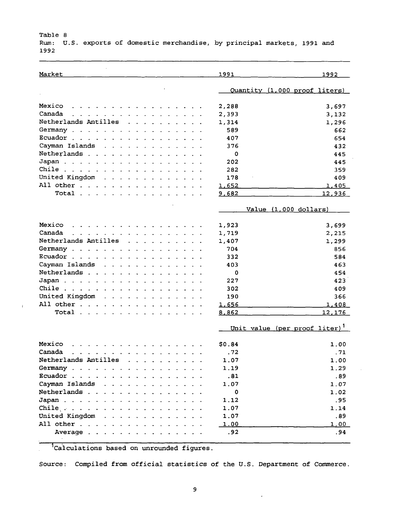$\bar{Y}$ 

Rum: U.S. exports of domestic merchandise, by principal markets, 1991 and 1992

| Market                                        | 1991                                      |        |
|-----------------------------------------------|-------------------------------------------|--------|
|                                               |                                           | 1992   |
|                                               | Quantity (1,000 proof liters)             |        |
|                                               |                                           |        |
| Mexico<br>.                                   | 2,288                                     | 3,697  |
| Canada<br>.                                   | 2,393                                     | 3,132  |
| Netherlands Antilles                          | 1,314                                     | 1,296  |
| Germany                                       | 589                                       | 662    |
| Ecuador                                       | 407                                       | 654    |
| Cayman Islands                                | 376                                       | 432    |
| Netherlands                                   | 0                                         | 445    |
| Japan                                         | 202                                       | 445    |
| Chile                                         | 282                                       | 359    |
| United Kingdom                                | 178                                       | 409    |
| All other                                     | 1,652                                     | 1,405  |
| Total                                         | 9,682                                     | 12,936 |
|                                               |                                           |        |
|                                               | Value (1,000 dollars)                     |        |
|                                               |                                           |        |
| Mexico<br>.                                   | 1,923                                     | 3,699  |
| Canada                                        | 1,719                                     | 2,215  |
| Netherlands Antilles                          | 1,407                                     | 1,299  |
| Germany                                       | 704                                       | 856    |
| Ecuador                                       | 332                                       | 584    |
| Cayman Islands                                | 403                                       | 463    |
| Netherlands $\ldots$                          | 0                                         | 454    |
| Japan                                         | 227                                       | 423    |
| Chile                                         | 302                                       | 409    |
| United Kingdom                                | 190                                       | 366    |
| All other                                     | 1,656                                     | 1,408  |
| Total                                         | 8,862                                     | 12,176 |
|                                               |                                           |        |
|                                               | Unit value (per proof liter) <sup>1</sup> |        |
|                                               |                                           |        |
| Mexico<br>.                                   | \$0.84                                    | 1.00   |
| Canada<br>.                                   | .72                                       | .71    |
| Netherlands Antilles                          | 1.07                                      | 1.00   |
| Germany $\ldots$ $\ldots$ $\ldots$            | 1.19                                      | 1.29   |
| Ecuador                                       | .81                                       | .89    |
| Cayman Islands                                | 1.07                                      | 1.07   |
| Netherlands $\ldots$                          | $\mathbf 0$                               | 1.02   |
| $Japan \dots \dots \dots$<br>$\sim$<br>$\sim$ | 1.12                                      | .95    |
| $\text{ Chile}$<br>$\sim$<br>$\sim$           | 1.07                                      | 1.14   |
| United Kingdom                                | 1.07                                      | .89    |
| All other                                     | 1.00                                      | 1.00   |
| Average                                       | .92                                       | .94    |
|                                               |                                           |        |

Calculations based on unrounded figures.

Source: Compiled from official statistics of the U.S. Department of Commerce.

 $\star$